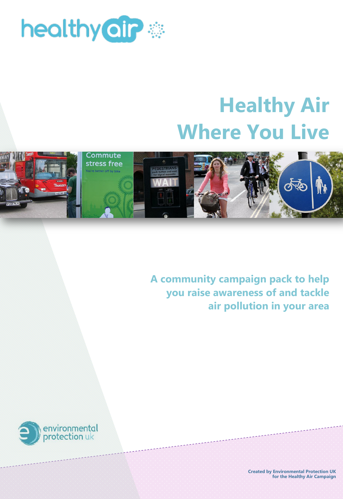

## **Healthy Air Where You Live**



**A community campaign pack to help you raise awareness of and tackle air pollution in your area**



**Created by Environmental Protection UK for the Healthy Air Campaign**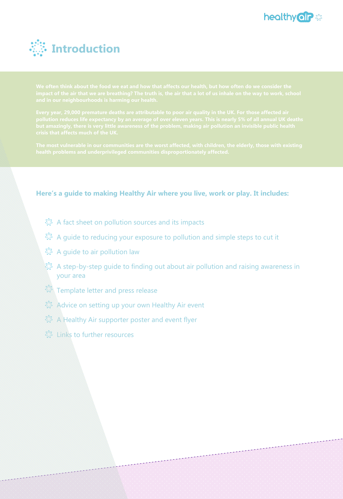



### **Here's a guide to making Healthy Air where you live, work or play. It includes:**

- $\ddot{\otimes}$  A fact sheet on pollution sources and its impacts
- $\ddot{\otimes}$  A guide to reducing your exposure to pollution and simple steps to cut it
- $\ddot{\otimes}$  A guide to air pollution law
- A step-by-step quide to finding out about air pollution and raising awareness in your area
- $\ddot{\otimes}$  Template letter and press release
- Advice on setting up your own Healthy Air event
- $\ddot{\otimes}$  A Healthy Air supporter poster and event flyer
- **Links to further resources**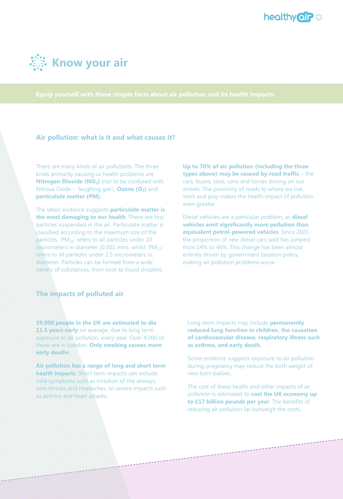



#### **Air pollution: what is it and what causes it?**

There are many kinds of air pollutants. The three kinds primarily causing us health problems are **Nitrogen Dioxide (NO2)** (not to be confused with Nitrous Oxide – 'laughing gas'), **Ozone (O3)** and **particulate matter (PM).**

The latest evidence suggests **particulate matter is the most damaging to our health**. These are tiny particles suspended in the air. Particulate matter is classified according to the maximum size of the particles. 'PM $_{10}$ ' refers to all particles under 10 micrometers in diameter (0.001 mm), whilst 'PM<sub>2.5</sub>' refers to all particles under 2.5 micrometers in diameter. Particles can be formed from a wide variety of substances, from soot to liquid droplets.

**Up to 70% of air pollution (including the three types above) may be caused by road traffic** – the cars, buses, taxis, vans and lorries driving on our streets. The proximity of roads to where we live, work and play makes the health impact of pollution even greater

Diesel vehicles are a particular problem, as **diesel vehicles emit significantly more pollution than equivalent petrol-powered vehicles**. Since 2001 the proportion of new diesel cars sold has jumped from 14% to 46%. This change has been almost entirely driven by government taxation policy, making air pollution problems worse.

#### **The impacts of polluted air**

**29,000 people in the UK are estimated to die 11.5 years early** on average, due to long term exposure to air pollution, every year. Over 4,000 of those are in London. **Only smoking causes more early deaths**.

**Air pollution has a range of long and short term health impacts**. Short term impacts can include mild symptoms such as irritation of the airways, sore throats and headaches, to severe impacts such as asthma and heart attacks.

Long-term impacts may include **permanently reduced lung function in children, the causation of cardiovascular disease, respiratory illness such as asthma, and early death.**

Some evidence suggests exposure to air pollution during pregnancy may reduce the birth weight of new born babies.

The cost of these health and other impacts of air pollution is estimated to **cost the UK economy up to £17 billion pounds per year**. The benefits of reducing air pollution far outweigh the costs.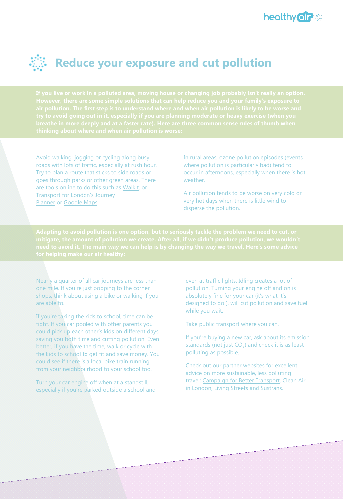

### **Reduce your exposure and cut pollution**

Avoid walking, jogging or cycling along busy roads with lots of traffic, especially at rush hour. Try to plan a route that sticks to side roads or goes through parks or other green areas. There are tools online to do this such as [Walkit,](http://walkit.com/) or Transport for London's [Journey](http://www.tfl.gov.uk/gettingaround/walking)  [Planner](http://www.tfl.gov.uk/gettingaround/walking) or [Google Maps.](http://maps.google.com/)

In rural areas, ozone pollution episodes (events where pollution is particularly bad) tend to occur in afternoons, especially when there is hot weather.

Air pollution tends to be worse on very cold or very hot days when there is little wind to disperse the pollution.

Nearly a quarter of all car journeys are less than one mile. If you're just popping to the corner shops, think about using a bike or walking if you are able to.

If you're taking the kids to school, time can be tight. If you car pooled with other parents you could pick up each other's kids on different days, saving you both time and cutting pollution. Even better, if you have the time, walk or cycle with the kids to school to get fit and save money. You could see if there is a local bike train running from your neighbourhood to your school too.

Turn your car engine off when at a standstill, especially if you're parked outside a school and even at traffic lights. Idling creates a lot of pollution. Turning your engine off and on is absolutely fine for your car (it's what it's designed to do!), will cut pollution and save fuel while you wait.

Take public transport where you can.

If you're buying a new car, ask about its emission standards (not just  $CO<sub>2</sub>$ ) and check it is as least polluting as possible.

Check out our partner websites for excellent advice on more sustainable, less polluting travel: [Campaign for Better Transport,](http://www.bettertransport.org.uk/home) Clean Air in London, [Living Streets](http://www.livingstreets.org.uk/our-projects/creating-healthy-environments/) and [Sustrans.](http://www.sustrans.org.uk/)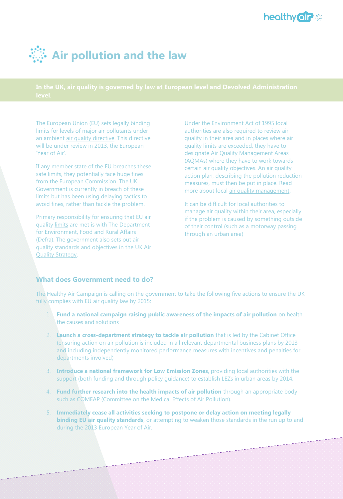

### **Air pollution and the law**

The European Union (EU) sets legally binding limits for levels of major air pollutants under an ambient [air quality directive.](http://www.healthyair.spookstudio.com/icontrol/pages/edit/) This directive will be under review in 2013, the European 'Year of Air'.

If any member state of the EU breaches these safe limits, they potentially face huge fines from the European Commission. The UK Government is currently in breach of these limits but has been using delaying tactics to avoid fines, rather than tackle the problem.

Primary responsibility for ensuring that EU air quality [limits](http://www.healthyair.spookstudio.com/icontrol/pages/edit/) are met is with The Department for Environment, Food and Rural Affairs (Defra). The government also sets out air quality standards and objectives in the [UK Air](http://www.healthyair.spookstudio.com/icontrol/pages/edit/)  [Quality Strategy.](http://www.healthyair.spookstudio.com/icontrol/pages/edit/)

Under the Environment Act of 1995 local authorities are also required to review air quality in their area and in places where air quality limits are exceeded, they have to designate Air Quality Management Areas (AQMAs) where they have to work towards certain air quality objectives. An air quality action plan, describing the pollution reduction measures, must then be put in place. Read more about local [air quality management.](http://www.healthyair.spookstudio.com/icontrol/pages/edit/)

It can be difficult for local authorities to manage air quality within their area, especially if the problem is caused by something outside of their control (such as a motorway passing through an urban area)

#### **What does Government need to do?**

The Healthy Air Campaign is calling on the government to take the following five actions to ensure the UK fully complies with EU air quality law by 2015:

- 1. **Fund a national campaign raising public awareness of the impacts of air pollution** on health, the causes and solutions
- 2. **Launch a cross-department strategy to tackle air pollution** that is led by the Cabinet Office (ensuring action on air pollution is included in all relevant departmental business plans by 2013 and including independently monitored performance measures with incentives and penalties for departments involved)
- 3. **Introduce a national framework for Low Emission Zones**, providing local authorities with the support (both funding and through policy guidance) to establish LEZs in urban areas by 2014.
- 4. **Fund further research into the health impacts of air pollution** through an appropriate body such as COMEAP (Committee on the Medical Effects of Air Pollution).
- 5. **Immediately cease all activities seeking to postpone or delay action on meeting legally binding EU air quality standards**, or attempting to weaken those standards in the run up to and during the 2013 European Year of Air.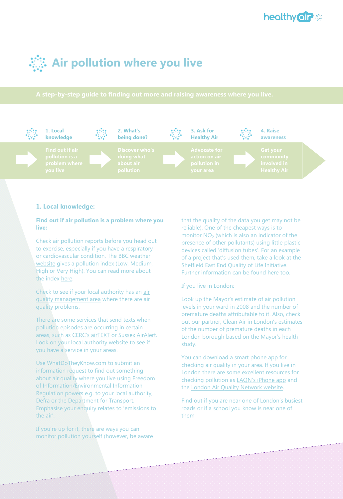

### **Air pollution where you live**



#### **1. Local knowledge:**

#### **Find out if air pollution is a problem where you live:**

Check air pollution reports before you head out to exercise, especially if you have a respiratory or cardiovascular condition. The [BBC weather](http://www.bbc.co.uk/weather/2643743)  [website](http://www.bbc.co.uk/weather/2643743) gives a pollution index (Low, Medium, High or Very High). You can read more about the index [here.](http://www.londonair.org.uk/london/asp/news.asp?NewsId=NewDAQI&StartIndex=11)

Check to see if your local authority has an [air](http://aqma.defra.gov.uk/list.php)  [quality management area](http://aqma.defra.gov.uk/list.php) where there are air quality problems.

There are some services that send texts when pollution episodes are occurring in certain areas, such as [CERC's airTEXT](http://www.airtext.info/) or [Sussex AirAlert.](http://www.airalert.info/) Look on your local authority website to see if you have a service in your areas.

Use WhatDoTheyKnow.com to submit an information request to find out something about air quality where you live using Freedom of Information/Environmental Information Regulation powers e.g. to your local authority, Defra or the Department for Transport. Emphasise your enquiry relates to 'emissions to the air'.

If you're up for it, there are ways you can monitor pollution yourself (however, be aware that the quality of the data you get may not be reliable). One of the cheapest ways is to monitor  $NO<sub>2</sub>$  (which is also an indicator of the presence of other pollutants) using little plastic devices called 'diffusion tubes'. For an example of a project that's used them, take a look at the Sheffield East End Quality of Life Initiative. Further information can be found here too.

#### If you live in London:

Look up the Mayor's estimate of air pollution levels in your ward in 2008 and the number of premature deaths attributable to it. Also, check out our partner, Clean Air in London's estimates of the number of premature deaths in each London borough based on the Mayor's health study.

You can download a smart phone app for checking air quality in your area. If you live in London there are some excellent resources for checking pollution as [LAQN's iPhone app](http://www.healthyair.spookstudio.com/icontrol/pages/edit/) and the [London Air Quality Network website.](http://www.londonair.org.uk/LondonAir/Default.aspx)

Find out if you are near one of London's busiest roads or if a school you know is near one of them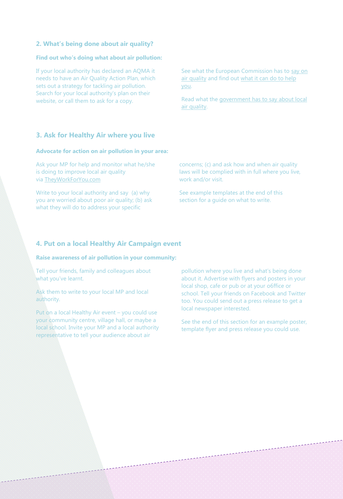#### **2. What's being done about air quality?**

#### **Find out who's doing what about air pollution:**

If your local authority has declared an AQMA it needs to have an Air Quality Action Plan, which sets out a strategy for tackling air pollution. Search for your local authority's plan on their website, or call them to ask for a copy.

See what the European Commission has to [say on](http://ec.europa.eu/environment/air/index_en.htm)  [air quality](http://ec.europa.eu/environment/air/index_en.htm) and find out [what it can do to help](http://ec.europa.eu/eu_law/infringements/infringements_en.htm)  [you.](http://ec.europa.eu/eu_law/infringements/infringements_en.htm)

Read what the [government has to say about local](http://uk-air.defra.gov.uk/)  [air quality.](http://uk-air.defra.gov.uk/)

#### **3. Ask for Healthy Air where you live**

#### **Advocate for action on air pollution in your area:**

Ask your MP for help and monitor what he/she is doing to improve local air quality via [TheyWorkForYou.com](http://www.theyworkforyou.com/)

Write to your local authority and say (a) why you are worried about poor air quality; (b) ask what they will do to address your specific

concerns; (c) and ask how and when air quality laws will be complied with in full where you live, work and/or visit.

See example templates at the end of this section for a guide on what to write.

#### **4. Put on a local Healthy Air Campaign event**

#### **Raise awareness of air pollution in your community:**

Tell your friends, family and colleagues about what you've learnt.

Ask them to write to your local MP and local authority.

Put on a local Healthy Air event – you could use your community centre, village hall, or maybe a local school. Invite your MP and a local authority representative to tell your audience about air

pollution where you live and what's being done about it. Advertise with flyers and posters in your local shop, cafe or pub or at your o6ffice or school. Tell your friends on Facebook and Twitter too. You could send out a press release to get a local newspaper interested.

See the end of this section for an example poster, template flyer and press release you could use.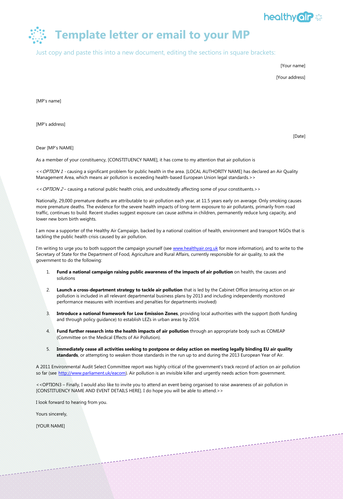

### **Template letter or email to your MP**

Just copy and paste this into a new document, editing the sections in square brackets:

[Your name]

[Your address]

[Date]

[MP's name]

[MP's address]

Dear [MP's NAME]

As a member of your constituency, [CONSTITUENCY NAME], it has come to my attention that air pollution is

<< OPTION 1 - causing a significant problem for public health in the area. [LOCAL AUTHORITY NAME] has declared an Air Quality Management Area, which means air pollution is exceeding health-based European Union legal standards.>>

<<OPTION 2 – causing a national public health crisis, and undoubtedly affecting some of your constituents.>>

Nationally, 29,000 premature deaths are attributable to air pollution each year, at 11.5 years early on average. Only smoking causes more premature deaths. The evidence for the severe health impacts of long-term exposure to air pollutants, primarily from road traffic, continues to build. Recent studies suggest exposure can cause asthma in children, permanently reduce lung capacity, and lower new born birth weights.

I am now a supporter of the Healthy Air Campaign, backed by a national coalition of health, environment and transport NGOs that is tackling the public health crisis caused by air pollution.

I'm writing to urge you to both support the campaign yourself (see [www.healthyair.org.uk](http://www.healthyair.org.uk/) for more information), and to write to the Secretary of State for the Department of Food, Agriculture and Rural Affairs, currently responsible for air quality, to ask the government to do the following:

- 1. **Fund a national campaign raising public awareness of the impacts of air pollution** on health, the causes and solutions
- 2. **Launch a cross-department strategy to tackle air pollution** that is led by the Cabinet Office (ensuring action on air pollution is included in all relevant departmental business plans by 2013 and including independently monitored performance measures with incentives and penalties for departments involved)
- 3. **Introduce a national framework for Low Emission Zones**, providing local authorities with the support (both funding and through policy guidance) to establish LEZs in urban areas by 2014.
- 4. **Fund further research into the health impacts of air pollution** through an appropriate body such as COMEAP (Committee on the Medical Effects of Air Pollution).
- 5. **Immediately cease all activities seeking to postpone or delay action on meeting legally binding EU air quality standards**, or attempting to weaken those standards in the run up to and during the 2013 European Year of Air.

A 2011 Environmental Audit Select Committee report was highly critical of the government's track record of action on air pollution so far (see [http://www.parliament.uk/eacom\)](http://www.parliament.uk/eacom). Air pollution is an invisible killer and urgently needs action from government.

<<OPTION3 – Finally, I would also like to invite you to attend an event being organised to raise awareness of air pollution in [CONSTITUENCY NAME AND EVENT DETAILS HERE]. I do hope you will be able to attend.>>

I look forward to hearing from you.

Yours sincerely,

[YOUR NAME]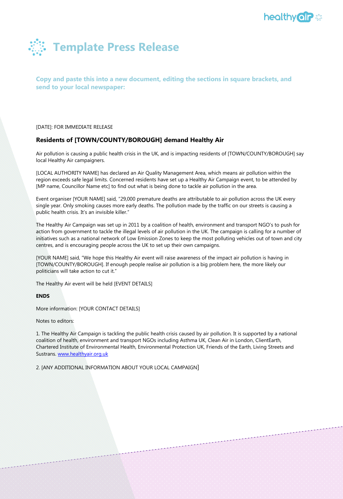



**Copy and paste this into a new document, editing the sections in square brackets, and send to your local newspaper:**

#### [DATE]: FOR IMMEDIATE RELEASE

#### **Residents of [TOWN/COUNTY/BOROUGH] demand Healthy Air**

Air pollution is causing a public health crisis in the UK, and is impacting residents of [TOWN/COUNTY/BOROUGH] say local Healthy Air campaigners.

[LOCAL AUTHORITY NAME] has declared an Air Quality Management Area, which means air pollution within the region exceeds safe legal limits. Concerned residents have set up a Healthy Air Campaign event, to be attended by [MP name, Councillor Name etc] to find out what is being done to tackle air pollution in the area.

Event organiser [YOUR NAME] said, "29,000 premature deaths are attributable to air pollution across the UK every single year. Only smoking causes more early deaths. The pollution made by the traffic on our streets is causing a public health crisis. It's an invisible killer."

The Healthy Air Campaign was set up in 2011 by a coalition of health, environment and transport NGO's to push for action from government to tackle the illegal levels of air pollution in the UK. The campaign is calling for a number of initiatives such as a national network of Low Emission Zones to keep the most polluting vehicles out of town and city centres, and is encouraging people across the UK to set up their own campaigns.

[YOUR NAME] said, "We hope this Healthy Air event will raise awareness of the impact air pollution is having in [TOWN/COUNTY/BOROUGH]. If enough people realise air pollution is a big problem here, the more likely our politicians will take action to cut it."

The Healthy Air event will be held [EVENT DETAILS]

**ENDS**

More information: [YOUR CONTACT DETAILS]

Notes to editors:

1. The Healthy Air Campaign is tackling the public health crisis caused by air pollution. It is supported by a national coalition of health, environment and transport NGOs including Asthma UK, Clean Air in London, ClientEarth, Chartered Institute of Environmental Health, Environmental Protection UK, Friends of the Earth, Living Streets and Sustrans. [www.healthyair.org.uk](http://www.healthyair.org.uk/)

2. [ANY ADDITIONAL INFORMATION ABOUT YOUR LOCAL CAMPAIGN]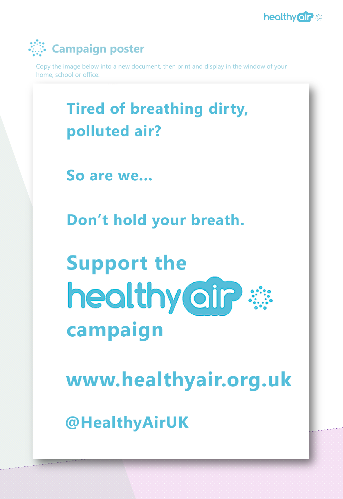



Copy the image below into a new document, then print and display in the window of your home, school or office:

## **Tired of breathing dirty,** polluted air?

So are we...

Don't hold your breath.

# **Support the** healthy air \*\* campaign

www.healthyair.org.uk

@HealthyAirUK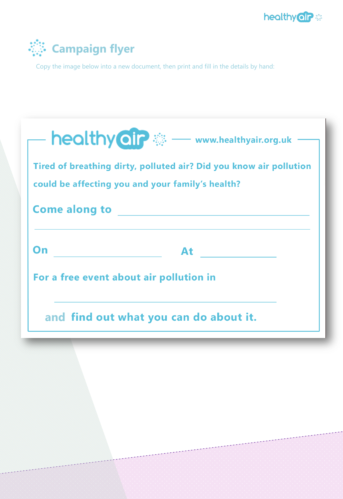



Copy the image below into a new document, then print and fill in the details by hand:

| $\blacksquare$ healthy oir $\mathbb{R}$ $\blacksquare$ www.healthyair.org.uk                                           |           |
|------------------------------------------------------------------------------------------------------------------------|-----------|
| Tired of breathing dirty, polluted air? Did you know air pollution<br>could be affecting you and your family's health? |           |
| <b>Come along to</b>                                                                                                   |           |
| On                                                                                                                     | <b>At</b> |
| For a free event about air pollution in                                                                                |           |
| and find out what you can do about it.                                                                                 |           |